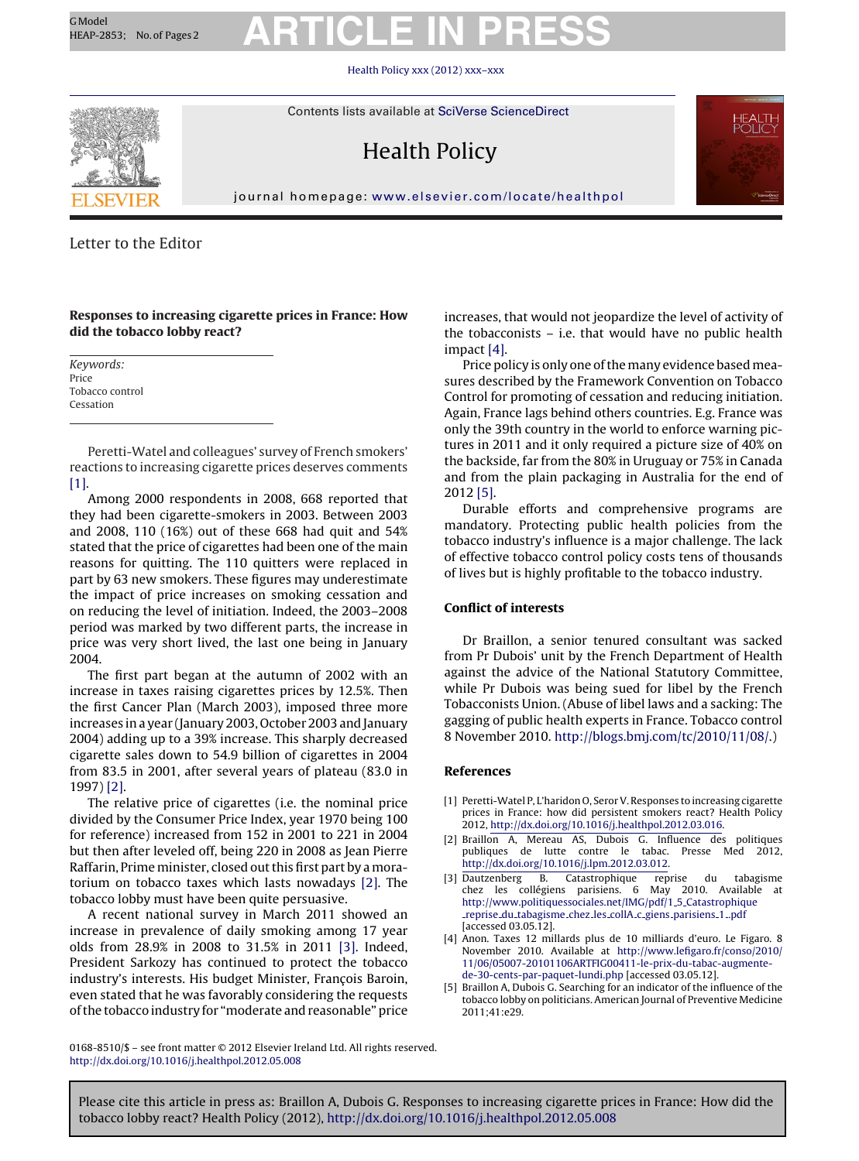# GModel REAP-2853; No.of Pages2 **ARTICLE IN PRESS**

Health Policy [xxx \(2012\) xxx–xxx](dx.doi.org/10.1016/j.healthpol.2012.05.008)



Contents lists available at SciVerse [ScienceDirect](http://www.sciencedirect.com/science/journal/01688510)

### Health Policy



journal homepage: [www.elsevier.com/locate/healthpol](http://www.elsevier.com/locate/healthpol)

### Letter to the Editor

**Responses to increasing cigarette prices in France: How did the tobacco lobby react?**

Keywords: Price Tobacco control Cessation

Peretti-Watel and colleagues' survey of French smokers' reactions to increasing cigarette prices deserves comments [1].

Among 2000 respondents in 2008, 668 reported that they had been cigarette-smokers in 2003. Between 2003 and 2008, 110 (16%) out of these 668 had quit and 54% stated that the price of cigarettes had been one of the main reasons for quitting. The 110 quitters were replaced in part by 63 new smokers. These figures may underestimate the impact of price increases on smoking cessation and on reducing the level of initiation. Indeed, the 2003–2008 period was marked by two different parts, the increase in price was very short lived, the last one being in January 2004.

The first part began at the autumn of 2002 with an increase in taxes raising cigarettes prices by 12.5%. Then the first Cancer Plan (March 2003), imposed three more increases in a year (January 2003, October 2003 and January 2004) adding up to a 39% increase. This sharply decreased cigarette sales down to 54.9 billion of cigarettes in 2004 from 83.5 in 2001, after several years of plateau (83.0 in 1997) [2].

The relative price of cigarettes (i.e. the nominal price divided by the Consumer Price Index, year 1970 being 100 for reference) increased from 152 in 2001 to 221 in 2004 but then after leveled off, being 220 in 2008 as Jean Pierre Raffarin, Prime minister, closed out this first part by a moratorium on tobacco taxes which lasts nowadays [2]. The tobacco lobby must have been quite persuasive.

A recent national survey in March 2011 showed an increase in prevalence of daily smoking among 17 year olds from 28.9% in 2008 to 31.5% in 2011 [3]. Indeed, President Sarkozy has continued to protect the tobacco industry's interests. His budget Minister, François Baroin, even stated that he was favorably considering the requests ofthe tobacco industry for "moderate and reasonable" price

increases, that would not jeopardize the level of activity of the tobacconists – i.e. that would have no public health impact [4].

Price policy is only one ofthe many evidence based measures described by the Framework Convention on Tobacco Control for promoting of cessation and reducing initiation. Again, France lags behind others countries. E.g. France was only the 39th country in the world to enforce warning pictures in 2011 and it only required a picture size of 40% on the backside, far from the 80% in Uruguay or 75% in Canada and from the plain packaging in Australia for the end of 2012 [5].

Durable efforts and comprehensive programs are mandatory. Protecting public health policies from the tobacco industry's influence is a major challenge. The lack of effective tobacco control policy costs tens of thousands of lives but is highly profitable to the tobacco industry.

#### **Conflict of interests**

Dr Braillon, a senior tenured consultant was sacked from Pr Dubois' unit by the French Department of Health against the advice of the National Statutory Committee, while Pr Dubois was being sued for libel by the French Tobacconists Union. (Abuse of libel laws and a sacking: The gagging of public health experts in France. Tobacco control 8 November 2010. <http://blogs.bmj.com/tc/2010/11/08/>.)

#### **References**

- [1] Peretti-Watel P, L'haridon O, SerorV. Responses to increasing cigarette prices in France: how did persistent smokers react? Health Policy 2012, [http://dx.doi.org/10.1016/j.healthpol.2012.03.016.](http://dx.doi.org/10.1016/j.healthpol.2012.03.016)
- [2] Braillon A, Mereau AS, Dubois G. Influence des politiques publiques de lutte contre le tabac. Presse Med 2012, <http://dx.doi.org/10.1016/j.lpm.2012.03.012>.
- [3] Dautzenberg B. Catastrophique reprise du tabagisme chez les collégiens parisiens. 6 [http://www.politiquessociales.net/IMG/pdf/1](http://www.politiquessociales.net/IMG/pdf/1_5_Catastrophique_reprise_du_tabagisme_chez_les_collA_c_giens_parisiens_1_.pdf) 5 Catastrophique reprise du [tabagisme](http://www.politiquessociales.net/IMG/pdf/1_5_Catastrophique_reprise_du_tabagisme_chez_les_collA_c_giens_parisiens_1_.pdf) chez les collA c giens parisiens 1 .pdf [accessed 03.05.12].
- [4] Anon. Taxes 12 millards plus de 10 milliards d'euro. Le Figaro. 8 November 2010. Available at [http://www.lefigaro.fr/conso/2010/](http://www.lefigaro.fr/conso/2010/11/06/05007-20101106ARTFIG00411-le-prix-du-tabac-augmente-de-30-cents-par-paquet-lundi.php) [11/06/05007-20101106ARTFIG00411-le-prix-du-tabac-augmente](http://www.lefigaro.fr/conso/2010/11/06/05007-20101106ARTFIG00411-le-prix-du-tabac-augmente-de-30-cents-par-paquet-lundi.php)de-30-cents-par-paquet-lundi.php [accessed 03.05.12].
- [5] Braillon A, Dubois G. Searching for an indicator of the influence of the tobacco lobby on politicians. American Journal of Preventive Medicine 2011;41:e29.

0168-8510/\$ – see front matter © 2012 Elsevier Ireland Ltd. All rights reserved. [http://dx.doi.org/10.1016/j.healthpol.2012.05.008](dx.doi.org/10.1016/j.healthpol.2012.05.008)

Please cite this article in press as: Braillon A, Dubois G. Responses to increasing cigarette prices in France: How did the tobacco lobby react? Health Policy (2012), [http://dx.doi.org/10.1016/j.healthpol.2012.05.008](dx.doi.org/10.1016/j.healthpol.2012.05.008)